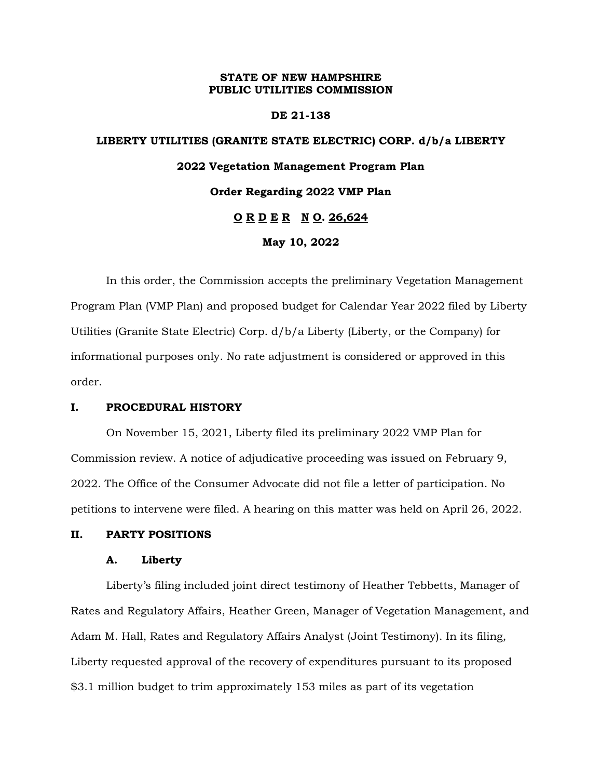## **STATE OF NEW HAMPSHIRE PUBLIC UTILITIES COMMISSION**

## **DE 21-138**

# **LIBERTY UTILITIES (GRANITE STATE ELECTRIC) CORP. d/b/a LIBERTY 2022 Vegetation Management Program Plan Order Regarding 2022 VMP Plan O R D E R N O. 26,624 May 10, 2022**

In this order, the Commission accepts the preliminary Vegetation Management Program Plan (VMP Plan) and proposed budget for Calendar Year 2022 filed by Liberty Utilities (Granite State Electric) Corp. d/b/a Liberty (Liberty, or the Company) for informational purposes only. No rate adjustment is considered or approved in this order.

## **I. PROCEDURAL HISTORY**

On November 15, 2021, Liberty filed its preliminary 2022 VMP Plan for Commission review. A notice of adjudicative proceeding was issued on February 9, 2022. The Office of the Consumer Advocate did not file a letter of participation. No petitions to intervene were filed. A hearing on this matter was held on April 26, 2022.

## **II. PARTY POSITIONS**

## **A. Liberty**

Liberty's filing included joint direct testimony of Heather Tebbetts, Manager of Rates and Regulatory Affairs, Heather Green, Manager of Vegetation Management, and Adam M. Hall, Rates and Regulatory Affairs Analyst (Joint Testimony). In its filing, Liberty requested approval of the recovery of expenditures pursuant to its proposed \$3.1 million budget to trim approximately 153 miles as part of its vegetation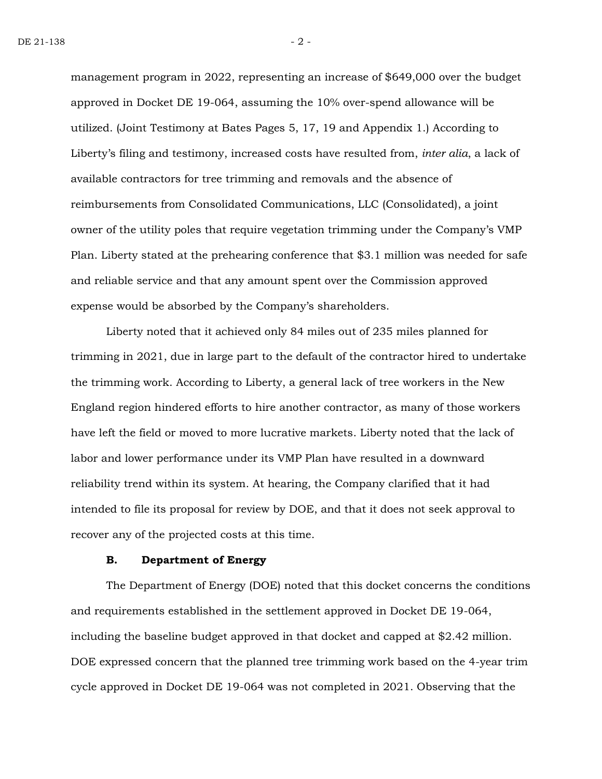management program in 2022, representing an increase of \$649,000 over the budget approved in Docket DE 19-064, assuming the 10% over-spend allowance will be utilized. (Joint Testimony at Bates Pages 5, 17, 19 and Appendix 1.) According to Liberty's filing and testimony, increased costs have resulted from, *inter alia*, a lack of available contractors for tree trimming and removals and the absence of reimbursements from Consolidated Communications, LLC (Consolidated), a joint owner of the utility poles that require vegetation trimming under the Company's VMP Plan. Liberty stated at the prehearing conference that \$3.1 million was needed for safe and reliable service and that any amount spent over the Commission approved expense would be absorbed by the Company's shareholders.

Liberty noted that it achieved only 84 miles out of 235 miles planned for trimming in 2021, due in large part to the default of the contractor hired to undertake the trimming work. According to Liberty, a general lack of tree workers in the New England region hindered efforts to hire another contractor, as many of those workers have left the field or moved to more lucrative markets. Liberty noted that the lack of labor and lower performance under its VMP Plan have resulted in a downward reliability trend within its system. At hearing, the Company clarified that it had intended to file its proposal for review by DOE, and that it does not seek approval to recover any of the projected costs at this time.

#### **B. Department of Energy**

The Department of Energy (DOE) noted that this docket concerns the conditions and requirements established in the settlement approved in Docket DE 19-064, including the baseline budget approved in that docket and capped at \$2.42 million. DOE expressed concern that the planned tree trimming work based on the 4-year trim cycle approved in Docket DE 19-064 was not completed in 2021. Observing that the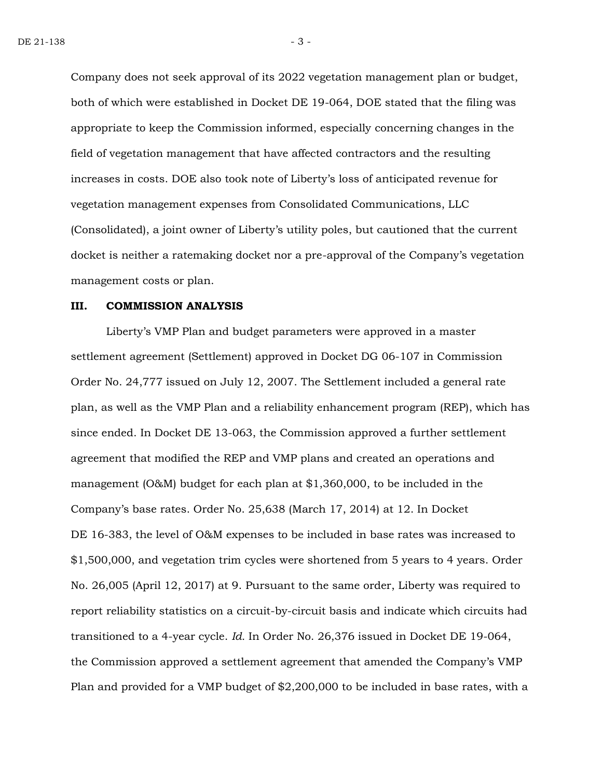Company does not seek approval of its 2022 vegetation management plan or budget, both of which were established in Docket DE 19-064, DOE stated that the filing was appropriate to keep the Commission informed, especially concerning changes in the field of vegetation management that have affected contractors and the resulting increases in costs. DOE also took note of Liberty's loss of anticipated revenue for vegetation management expenses from Consolidated Communications, LLC (Consolidated), a joint owner of Liberty's utility poles, but cautioned that the current docket is neither a ratemaking docket nor a pre-approval of the Company's vegetation management costs or plan.

#### **III. COMMISSION ANALYSIS**

Liberty's VMP Plan and budget parameters were approved in a master settlement agreement (Settlement) approved in Docket DG 06-107 in Commission Order No. 24,777 issued on July 12, 2007. The Settlement included a general rate plan, as well as the VMP Plan and a reliability enhancement program (REP), which has since ended. In Docket DE 13-063, the Commission approved a further settlement agreement that modified the REP and VMP plans and created an operations and management (O&M) budget for each plan at \$1,360,000, to be included in the Company's base rates. Order No. 25,638 (March 17, 2014) at 12. In Docket DE 16-383, the level of O&M expenses to be included in base rates was increased to \$1,500,000, and vegetation trim cycles were shortened from 5 years to 4 years. Order No. 26,005 (April 12, 2017) at 9. Pursuant to the same order, Liberty was required to report reliability statistics on a circuit-by-circuit basis and indicate which circuits had transitioned to a 4-year cycle. *Id.* In Order No. 26,376 issued in Docket DE 19-064, the Commission approved a settlement agreement that amended the Company's VMP Plan and provided for a VMP budget of \$2,200,000 to be included in base rates, with a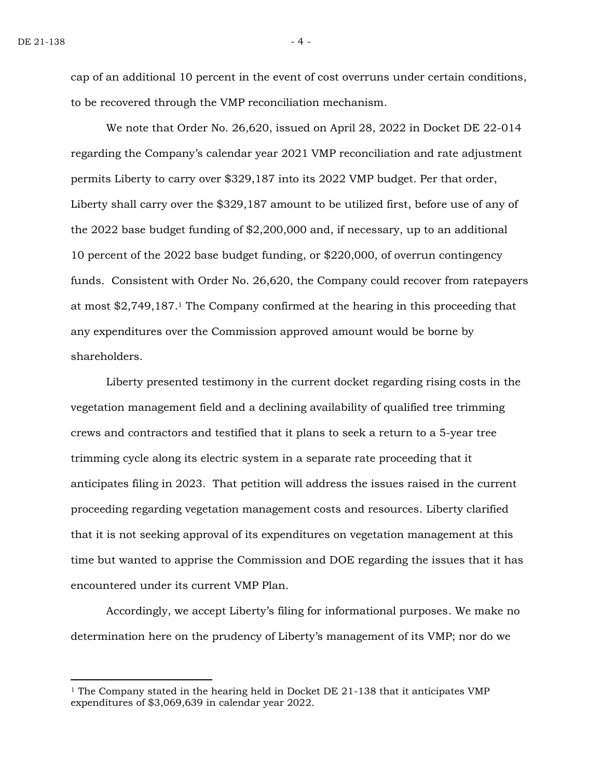cap of an additional 10 percent in the event of cost overruns under certain conditions, to be recovered through the VMP reconciliation mechanism.

We note that Order No. 26,620, issued on April 28, 2022 in Docket DE 22-014 regarding the Company's calendar year 2021 VMP reconciliation and rate adjustment permits Liberty to carry over \$329,187 into its 2022 VMP budget. Per that order, Liberty shall carry over the \$329,187 amount to be utilized first, before use of any of the 2022 base budget funding of \$2,200,000 and, if necessary, up to an additional 10 percent of the 2022 base budget funding, or \$220,000, of overrun contingency funds. Consistent with Order No. 26,620, the Company could recover from ratepayers at most \$2,749,187.<sup>1</sup> The Company confirmed at the hearing in this proceeding that any expenditures over the Commission approved amount would be borne by shareholders.

Liberty presented testimony in the current docket regarding rising costs in the vegetation management field and a declining availability of qualified tree trimming crews and contractors and testified that it plans to seek a return to a 5-year tree trimming cycle along its electric system in a separate rate proceeding that it anticipates filing in 2023. That petition will address the issues raised in the current proceeding regarding vegetation management costs and resources. Liberty clarified that it is not seeking approval of its expenditures on vegetation management at this time but wanted to apprise the Commission and DOE regarding the issues that it has encountered under its current VMP Plan.

Accordingly, we accept Liberty's filing for informational purposes. We make no determination here on the prudency of Liberty's management of its VMP; nor do we

<sup>&</sup>lt;sup>1</sup> The Company stated in the hearing held in Docket DE  $21$ -138 that it anticipates VMP expenditures of \$3,069,639 in calendar year 2022.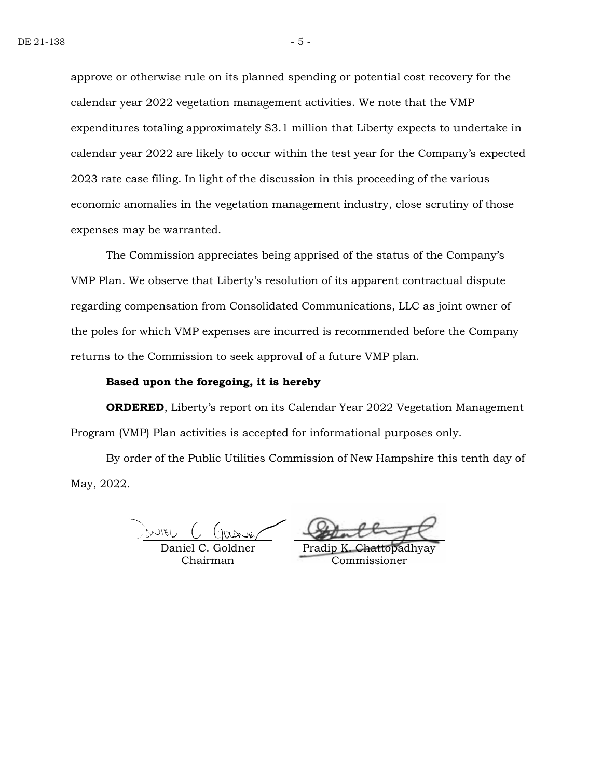approve or otherwise rule on its planned spending or potential cost recovery for the calendar year 2022 vegetation management activities. We note that the VMP expenditures totaling approximately \$3.1 million that Liberty expects to undertake in calendar year 2022 are likely to occur within the test year for the Company's expected 2023 rate case filing. In light of the discussion in this proceeding of the various economic anomalies in the vegetation management industry, close scrutiny of those expenses may be warranted.

The Commission appreciates being apprised of the status of the Company's VMP Plan. We observe that Liberty's resolution of its apparent contractual dispute regarding compensation from Consolidated Communications, LLC as joint owner of the poles for which VMP expenses are incurred is recommended before the Company returns to the Commission to seek approval of a future VMP plan.

#### **Based upon the foregoing, it is hereby**

**ORDERED**, Liberty's report on its Calendar Year 2022 Vegetation Management Program (VMP) Plan activities is accepted for informational purposes only.

By order of the Public Utilities Commission of New Hampshire this tenth day of May, 2022.

Daniel C. Goldner Chairman

Pradip Commissioner